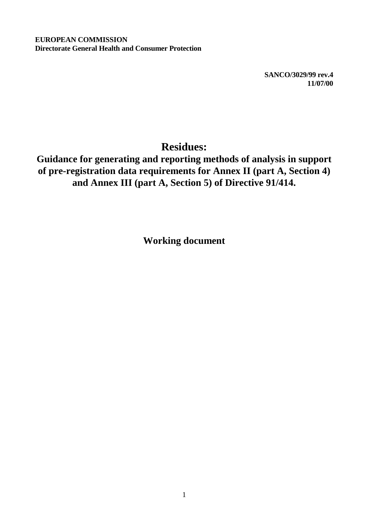**SANCO/3029/99 rev.4 11/07/00**

**Residues:**

# **Guidance for generating and reporting methods of analysis in support of pre-registration data requirements for Annex II (part A, Section 4) and Annex III (part A, Section 5) of Directive 91/414.**

**Working document**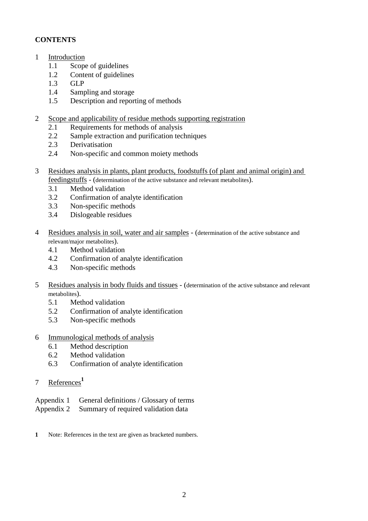#### **CONTENTS**

- 1 Introduction
	- 1.1 Scope of guidelines
	- 1.2 Content of guidelines
	- 1.3 GLP
	- 1.4 Sampling and storage
	- 1.5 Description and reporting of methods
- 2 Scope and applicability of residue methods supporting registration
	- 2.1 Requirements for methods of analysis
	- 2.2 Sample extraction and purification techniques
	- 2.3 Derivatisation
	- 2.4 Non-specific and common moiety methods
- 3 Residues analysis in plants, plant products, foodstuffs (of plant and animal origin) and feedingstuffs - (determination of the active substance and relevant metabolites).
	- 3.1 Method validation
	- 3.2 Confirmation of analyte identification
	- 3.3 Non-specific methods
	- 3.4 Dislogeable residues
- 4 Residues analysis in soil, water and air samples (determination of the active substance and relevant/major metabolites).
	- 4.1 Method validation
	- 4.2 Confirmation of analyte identification
	- 4.3 Non-specific methods
- 5 Residues analysis in body fluids and tissues (determination of the active substance and relevant metabolites).
	- 5.1 Method validation
	- 5.2 Confirmation of analyte identification
	- 5.3 Non-specific methods
- 6 Immunological methods of analysis
	- 6.1 Method description
	- 6.2 Method validation
	- 6.3 Confirmation of analyte identification
- 7 References**<sup>1</sup>**

#### Appendix 1 General definitions / Glossary of terms

- Appendix 2 Summary of required validation data
- **1** Note: References in the text are given as bracketed numbers.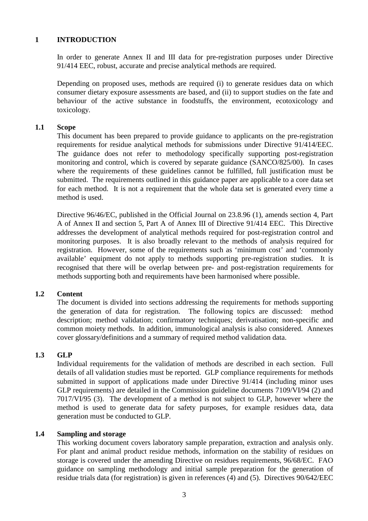#### **1 INTRODUCTION**

In order to generate Annex II and III data for pre-registration purposes under Directive 91/414 EEC, robust, accurate and precise analytical methods are required.

Depending on proposed uses, methods are required (i) to generate residues data on which consumer dietary exposure assessments are based, and (ii) to support studies on the fate and behaviour of the active substance in foodstuffs, the environment, ecotoxicology and toxicology.

#### **1.1 Scope**

This document has been prepared to provide guidance to applicants on the pre-registration requirements for residue analytical methods for submissions under Directive 91/414/EEC. The guidance does not refer to methodology specifically supporting post-registration monitoring and control, which is covered by separate guidance (SANCO/825/00). In cases where the requirements of these guidelines cannot be fulfilled, full justification must be submitted. The requirements outlined in this guidance paper are applicable to a core data set for each method. It is not a requirement that the whole data set is generated every time a method is used.

Directive 96/46/EC, published in the Official Journal on 23.8.96 (1), amends section 4, Part A of Annex II and section 5, Part A of Annex III of Directive 91/414 EEC. This Directive addresses the development of analytical methods required for post-registration control and monitoring purposes. It is also broadly relevant to the methods of analysis required for registration. However, some of the requirements such as 'minimum cost' and 'commonly available' equipment do not apply to methods supporting pre-registration studies. It is recognised that there will be overlap between pre- and post-registration requirements for methods supporting both and requirements have been harmonised where possible.

#### **1.2 Content**

The document is divided into sections addressing the requirements for methods supporting the generation of data for registration. The following topics are discussed: method description; method validation; confirmatory techniques; derivatisation; non-specific and common moiety methods. In addition, immunological analysis is also considered. Annexes cover glossary/definitions and a summary of required method validation data.

#### **1.3 GLP**

Individual requirements for the validation of methods are described in each section. Full details of all validation studies must be reported. GLP compliance requirements for methods submitted in support of applications made under Directive 91/414 (including minor uses GLP requirements) are detailed in the Commission guideline documents 7109/VI/94 (2) and 7017/VI/95 (3). The development of a method is not subject to GLP, however where the method is used to generate data for safety purposes, for example residues data, data generation must be conducted to GLP.

#### **1.4 Sampling and storage**

This working document covers laboratory sample preparation, extraction and analysis only. For plant and animal product residue methods, information on the stability of residues on storage is covered under the amending Directive on residues requirements, 96/68/EC. FAO guidance on sampling methodology and initial sample preparation for the generation of residue trials data (for registration) is given in references (4) and (5). Directives 90/642/EEC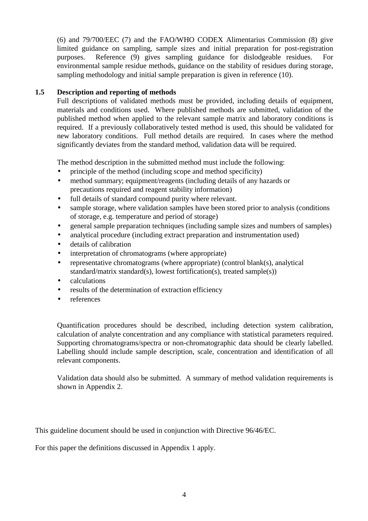(6) and 79/700/EEC (7) and the FAO/WHO CODEX Alimentarius Commission (8) give limited guidance on sampling, sample sizes and initial preparation for post-registration purposes. Reference (9) gives sampling guidance for dislodgeable residues. For environmental sample residue methods, guidance on the stability of residues during storage, sampling methodology and initial sample preparation is given in reference (10).

#### **1.5 Description and reporting of methods**

Full descriptions of validated methods must be provided, including details of equipment, materials and conditions used. Where published methods are submitted, validation of the published method when applied to the relevant sample matrix and laboratory conditions is required. If a previously collaboratively tested method is used, this should be validated for new laboratory conditions. Full method details are required. In cases where the method significantly deviates from the standard method, validation data will be required.

The method description in the submitted method must include the following:

- principle of the method (including scope and method specificity)
- method summary; equipment/reagents (including details of any hazards or precautions required and reagent stability information)
- full details of standard compound purity where relevant.
- sample storage, where validation samples have been stored prior to analysis (conditions) of storage, e.g. temperature and period of storage)
- general sample preparation techniques (including sample sizes and numbers of samples)
- analytical procedure (including extract preparation and instrumentation used)
- details of calibration
- interpretation of chromatograms (where appropriate)
- representative chromatograms (where appropriate) (control blank(s), analytical standard/matrix standard(s), lowest fortification(s), treated sample(s))
- calculations
- results of the determination of extraction efficiency
- references

Quantification procedures should be described, including detection system calibration, calculation of analyte concentration and any compliance with statistical parameters required. Supporting chromatograms/spectra or non-chromatographic data should be clearly labelled. Labelling should include sample description, scale, concentration and identification of all relevant components.

Validation data should also be submitted. A summary of method validation requirements is shown in Appendix 2.

This guideline document should be used in conjunction with Directive 96/46/EC.

For this paper the definitions discussed in Appendix 1 apply.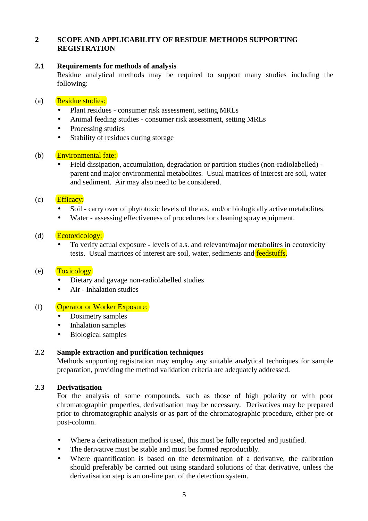#### **2 SCOPE AND APPLICABILITY OF RESIDUE METHODS SUPPORTING REGISTRATION**

#### **2.1 Requirements for methods of analysis**

Residue analytical methods may be required to support many studies including the following:

#### (a) Residue studies:

- Plant residues consumer risk assessment, setting MRLs
- Animal feeding studies consumer risk assessment, setting MRLs
- Processing studies
- Stability of residues during storage

#### (b) Environmental fate:

• Field dissipation, accumulation, degradation or partition studies (non-radiolabelled) parent and major environmental metabolites. Usual matrices of interest are soil, water and sediment. Air may also need to be considered.

#### $(c)$  Efficacy:

- Soil carry over of phytotoxic levels of the a.s. and/or biologically active metabolites.
- Water assessing effectiveness of procedures for cleaning spray equipment.

#### (d) Ecotoxicology:

• To verify actual exposure - levels of a.s. and relevant/major metabolites in ecotoxicity tests. Usual matrices of interest are soil, water, sediments and feedstuffs.

#### (e) Toxicology

- Dietary and gavage non-radiolabelled studies
- Air Inhalation studies

#### (f) Operator or Worker Exposure:

- Dosimetry samples
- Inhalation samples
- Biological samples

#### **2.2 Sample extraction and purification techniques**

Methods supporting registration may employ any suitable analytical techniques for sample preparation, providing the method validation criteria are adequately addressed.

#### **2.3 Derivatisation**

For the analysis of some compounds, such as those of high polarity or with poor chromatographic properties, derivatisation may be necessary. Derivatives may be prepared prior to chromatographic analysis or as part of the chromatographic procedure, either pre-or post-column.

- Where a derivatisation method is used, this must be fully reported and justified.
- The derivative must be stable and must be formed reproducibly.
- Where quantification is based on the determination of a derivative, the calibration should preferably be carried out using standard solutions of that derivative, unless the derivatisation step is an on-line part of the detection system.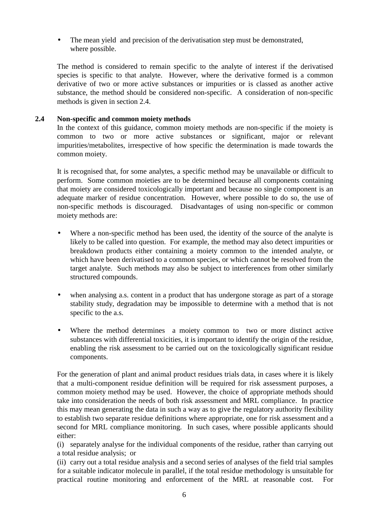The mean yield and precision of the derivatisation step must be demonstrated, where possible.

The method is considered to remain specific to the analyte of interest if the derivatised species is specific to that analyte. However, where the derivative formed is a common derivative of two or more active substances or impurities or is classed as another active substance, the method should be considered non-specific. A consideration of non-specific methods is given in section 2.4.

#### **2.4 Non-specific and common moiety methods**

In the context of this guidance, common moiety methods are non-specific if the moiety is common to two or more active substances or significant, major or relevant impurities/metabolites, irrespective of how specific the determination is made towards the common moiety.

It is recognised that, for some analytes, a specific method may be unavailable or difficult to perform. Some common moieties are to be determined because all components containing that moiety are considered toxicologically important and because no single component is an adequate marker of residue concentration. However, where possible to do so, the use of non-specific methods is discouraged. Disadvantages of using non-specific or common moiety methods are:

- Where a non-specific method has been used, the identity of the source of the analyte is likely to be called into question. For example, the method may also detect impurities or breakdown products either containing a moiety common to the intended analyte, or which have been derivatised to a common species, or which cannot be resolved from the target analyte. Such methods may also be subject to interferences from other similarly structured compounds.
- when analysing a.s. content in a product that has undergone storage as part of a storage stability study, degradation may be impossible to determine with a method that is not specific to the a.s.
- Where the method determines a moiety common to two or more distinct active substances with differential toxicities, it is important to identify the origin of the residue, enabling the risk assessment to be carried out on the toxicologically significant residue components.

For the generation of plant and animal product residues trials data, in cases where it is likely that a multi-component residue definition will be required for risk assessment purposes, a common moiety method may be used. However, the choice of appropriate methods should take into consideration the needs of both risk assessment and MRL compliance. In practice this may mean generating the data in such a way as to give the regulatory authority flexibility to establish two separate residue definitions where appropriate, one for risk assessment and a second for MRL compliance monitoring. In such cases, where possible applicants should either:

(i) separately analyse for the individual components of the residue, rather than carrying out a total residue analysis; or

(ii) carry out a total residue analysis and a second series of analyses of the field trial samples for a suitable indicator molecule in parallel, if the total residue methodology is unsuitable for practical routine monitoring and enforcement of the MRL at reasonable cost. For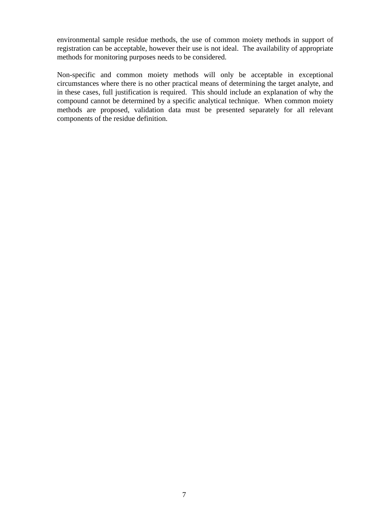environmental sample residue methods, the use of common moiety methods in support of registration can be acceptable, however their use is not ideal. The availability of appropriate methods for monitoring purposes needs to be considered.

Non-specific and common moiety methods will only be acceptable in exceptional circumstances where there is no other practical means of determining the target analyte, and in these cases, full justification is required. This should include an explanation of why the compound cannot be determined by a specific analytical technique. When common moiety methods are proposed, validation data must be presented separately for all relevant components of the residue definition.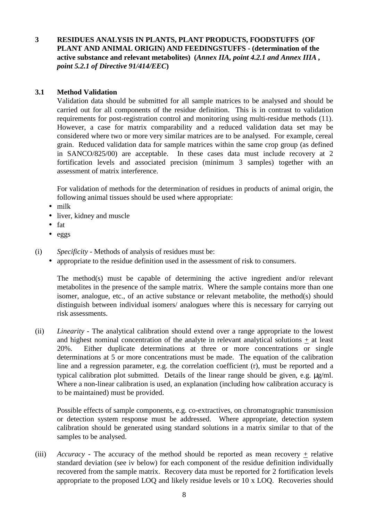#### **3 RESIDUES ANALYSIS IN PLANTS, PLANT PRODUCTS, FOODSTUFFS (OF PLANT AND ANIMAL ORIGIN) AND FEEDINGSTUFFS - (determination of the active substance and relevant metabolites) (***Annex IIA, point 4.2.1 and Annex IIIA , point 5.2.1 of Directive 91/414/EEC***)**

#### **3.1 Method Validation**

Validation data should be submitted for all sample matrices to be analysed and should be carried out for all components of the residue definition. This is in contrast to validation requirements for post-registration control and monitoring using multi-residue methods (11). However, a case for matrix comparability and a reduced validation data set may be considered where two or more very similar matrices are to be analysed. For example, cereal grain. Reduced validation data for sample matrices within the same crop group (as defined in SANCO/825/00) are acceptable. In these cases data must include recovery at 2 fortification levels and associated precision (minimum 3 samples) together with an assessment of matrix interference.

For validation of methods for the determination of residues in products of animal origin, the following animal tissues should be used where appropriate:

- milk
- liver, kidney and muscle
- fat
- eggs
- (i) *Specificity* Methods of analysis of residues must be:
	- appropriate to the residue definition used in the assessment of risk to consumers.

The method(s) must be capable of determining the active ingredient and/or relevant metabolites in the presence of the sample matrix. Where the sample contains more than one isomer, analogue, etc., of an active substance or relevant metabolite, the method(s) should distinguish between individual isomers/ analogues where this is necessary for carrying out risk assessments.

(ii) *Linearity* - The analytical calibration should extend over a range appropriate to the lowest and highest nominal concentration of the analyte in relevant analytical solutions + at least 20%. Either duplicate determinations at three or more concentrations or single determinations at 5 or more concentrations must be made. The equation of the calibration line and a regression parameter, e.g. the correlation coefficient (r), must be reported and a typical calibration plot submitted. Details of the linear range should be given, e.g. µg/ml. Where a non-linear calibration is used, an explanation (including how calibration accuracy is to be maintained) must be provided.

Possible effects of sample components, e.g. co-extractives, on chromatographic transmission or detection system response must be addressed. Where appropriate, detection system calibration should be generated using standard solutions in a matrix similar to that of the samples to be analysed.

(iii) *Accuracy* - The accuracy of the method should be reported as mean recovery + relative standard deviation (see iv below) for each component of the residue definition individually recovered from the sample matrix. Recovery data must be reported for 2 fortification levels appropriate to the proposed LOQ and likely residue levels or 10 x LOQ. Recoveries should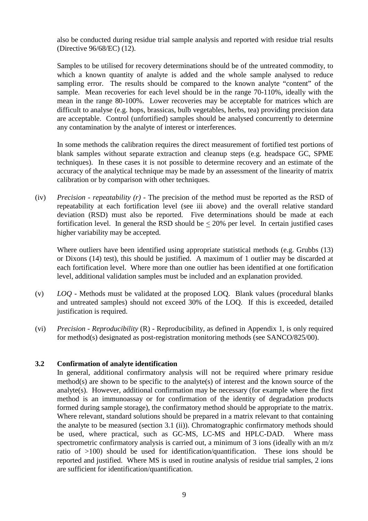also be conducted during residue trial sample analysis and reported with residue trial results (Directive 96/68/EC) (12).

Samples to be utilised for recovery determinations should be of the untreated commodity, to which a known quantity of analyte is added and the whole sample analysed to reduce sampling error. The results should be compared to the known analyte "content" of the sample. Mean recoveries for each level should be in the range 70-110%, ideally with the mean in the range 80-100%. Lower recoveries may be acceptable for matrices which are difficult to analyse (e.g. hops, brassicas, bulb vegetables, herbs, tea) providing precision data are acceptable. Control (unfortified) samples should be analysed concurrently to determine any contamination by the analyte of interest or interferences.

In some methods the calibration requires the direct measurement of fortified test portions of blank samples without separate extraction and cleanup steps (e.g. headspace GC, SPME techniques). In these cases it is not possible to determine recovery and an estimate of the accuracy of the analytical technique may be made by an assessment of the linearity of matrix calibration or by comparison with other techniques.

(iv) *Precision* - *repeatability (r)* - The precision of the method must be reported as the RSD of repeatability at each fortification level (see iii above) and the overall relative standard deviation (RSD) must also be reported. Five determinations should be made at each fortification level. In general the RSD should be  $< 20\%$  per level. In certain justified cases higher variability may be accepted.

Where outliers have been identified using appropriate statistical methods (e.g. Grubbs (13) or Dixons (14) test), this should be justified. A maximum of 1 outlier may be discarded at each fortification level. Where more than one outlier has been identified at one fortification level, additional validation samples must be included and an explanation provided.

- (v) *LOQ* Methods must be validated at the proposed LOQ. Blank values (procedural blanks and untreated samples) should not exceed 30% of the LOQ. If this is exceeded, detailed justification is required.
- (vi) *Precision Reproducibility* (R) Reproducibility, as defined in Appendix 1, is only required for method(s) designated as post-registration monitoring methods (see SANCO/825/00).

#### **3.2 Confirmation of analyte identification**

In general, additional confirmatory analysis will not be required where primary residue method(s) are shown to be specific to the analyte(s) of interest and the known source of the analyte(s). However, additional confirmation may be necessary (for example where the first method is an immunoassay or for confirmation of the identity of degradation products formed during sample storage), the confirmatory method should be appropriate to the matrix. Where relevant, standard solutions should be prepared in a matrix relevant to that containing the analyte to be measured (section 3.1 (ii)). Chromatographic confirmatory methods should be used, where practical, such as GC-MS, LC-MS and HPLC-DAD. Where mass spectrometric confirmatory analysis is carried out, a minimum of 3 ions (ideally with an m/z ratio of >100) should be used for identification/quantification. These ions should be reported and justified. Where MS is used in routine analysis of residue trial samples, 2 ions are sufficient for identification/quantification.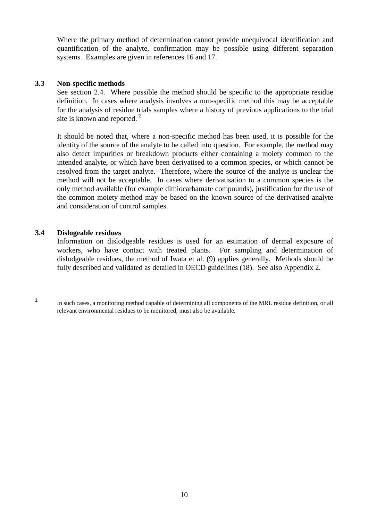Where the primary method of determination cannot provide unequivocal identification and quantification of the analyte, confirmation may be possible using different separation systems. Examples are given in references 16 and 17.

#### **3.3 Non-specific methods**

See section 2.4. Where possible the method should be specific to the appropriate residue definition. In cases where analysis involves a non-specific method this may be acceptable for the analysis of residue trials samples where a history of previous applications to the trial site is known and reported.**<sup>2</sup>**

It should be noted that, where a non-specific method has been used, it is possible for the identity of the source of the analyte to be called into question. For example, the method may also detect impurities or breakdown products either containing a moiety common to the intended analyte, or which have been derivatised to a common species, or which cannot be resolved from the target analyte. Therefore, where the source of the analyte is unclear the method will not be acceptable. In cases where derivatisation to a common species is the only method available (for example dithiocarbamate compounds), justification for the use of the common moiety method may be based on the known source of the derivatised analyte and consideration of control samples.

#### **3.4 Dislogeable residues**

Information on dislodgeable residues is used for an estimation of dermal exposure of workers, who have contact with treated plants. For sampling and determination of dislodgeable residues, the method of Iwata et al. (9) applies generally. Methods should be fully described and validated as detailed in OECD guidelines (18). See also Appendix 2.

<sup>&</sup>lt;sup>2</sup> In such cases, a monitoring method capable of determining all components of the MRL residue definition, or all relevant environmental residues to be monitored, must also be available.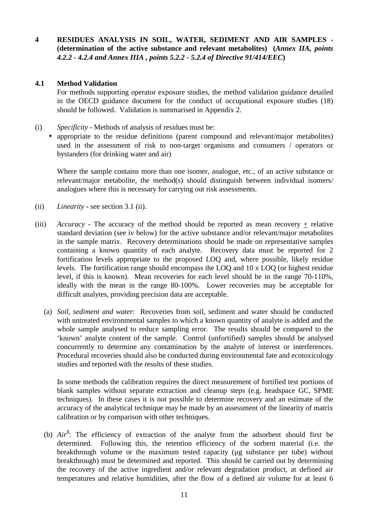#### **4 RESIDUES ANALYSIS IN SOIL, WATER, SEDIMENT AND AIR SAMPLES - (determination of the active substance and relevant metabolites) (***Annex IIA, points 4.2.2 - 4.2.4 and Annex IIIA , points 5.2.2 - 5.2.4 of Directive 91/414/EEC***)**

#### **4.1 Method Validation**

For methods supporting operator exposure studies, the method validation guidance detailed in the OECD guidance document for the conduct of occupational exposure studies (18) should be followed. Validation is summarised in Appendix 2.

- (i) *Specificity* Methods of analysis of residues must be:
	- appropriate to the residue definitions (parent compound and relevant/major metabolites) used in the assessment of risk to non-target organisms and consumers / operators or bystanders (for drinking water and air)

Where the sample contains more than one isomer, analogue, etc., of an active substance or relevant/major metabolite, the method(s) should distinguish between individual isomers/ analogues where this is necessary for carrying out risk assessments.

- (ii) *Linearity* see section 3.1 (ii).
- (iii) *Accuracy* The accuracy of the method should be reported as mean recovery + relative standard deviation (see iv below) for the active substance and/or relevant/major metabolites in the sample matrix. Recovery determinations should be made on representative samples containing a known quantity of each analyte. Recovery data must be reported for 2 fortification levels appropriate to the proposed LOQ and, where possible, likely residue levels. The fortification range should encompass the LOQ and 10 x LOQ (or highest residue level, if this is known). Mean recoveries for each level should be in the range 70-110%, ideally with the mean in the range 80-100%. Lower recoveries may be acceptable for difficult analytes, providing precision data are acceptable.
	- (a) *Soil, sediment and water*: Recoveries from soil, sediment and water should be conducted with untreated environmental samples to which a known quantity of analyte is added and the whole sample analysed to reduce sampling error. The results should be compared to the 'known' analyte content of the sample. Control (unfortified) samples should be analysed concurrently to determine any contamination by the analyte of interest or interferences. Procedural recoveries should also be conducted during environmental fate and ecotoxicology studies and reported with the results of these studies.

In some methods the calibration requires the direct measurement of fortified test portions of blank samples without separate extraction and cleanup steps (e.g. headspace GC, SPME techniques). In these cases it is not possible to determine recovery and an estimate of the accuracy of the analytical technique may be made by an assessment of the linearity of matrix calibration or by comparison with other techniques.

(b)  $Air^3$ : The efficiency of extraction of the analyte from the adsorbent should first be determined. Following this, the retention efficiency of the sorbent material (i.e. the breakthrough volume or the maximum tested capacity (µg substance per tube) without breakthrough) must be determined and reported. This should be carried out by determining the recovery of the active ingredient and/or relevant degradation product, at defined air temperatures and relative humidities, after the flow of a defined air volume for at least 6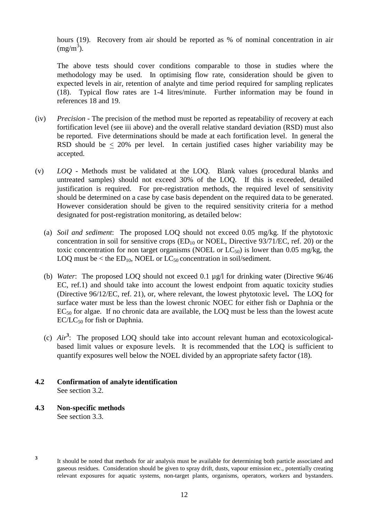hours (19). Recovery from air should be reported as % of nominal concentration in air  $(mg/m<sup>3</sup>)$ .

The above tests should cover conditions comparable to those in studies where the methodology may be used. In optimising flow rate, consideration should be given to expected levels in air, retention of analyte and time period required for sampling replicates (18). Typical flow rates are 1-4 litres/minute. Further information may be found in references 18 and 19.

- (iv) *Precision* The precision of the method must be reported as repeatability of recovery at each fortification level (see iii above) and the overall relative standard deviation (RSD) must also be reported. Five determinations should be made at each fortification level. In general the RSD should be < 20% per level. In certain justified cases higher variability may be accepted.
- (v) *LOQ* Methods must be validated at the LOQ. Blank values (procedural blanks and untreated samples) should not exceed 30% of the LOQ. If this is exceeded, detailed justification is required. For pre-registration methods, the required level of sensitivity should be determined on a case by case basis dependent on the required data to be generated. However consideration should be given to the required sensitivity criteria for a method designated for post-registration monitoring, as detailed below:
	- (a) *Soil and sediment*: The proposed LOQ should not exceed 0.05 mg/kg. If the phytotoxic concentration in soil for sensitive crops  $(ED_{10}$  or NOEL, Directive 93/71/EC, ref. 20) or the toxic concentration for non target organisms (NOEL or  $LC_{50}$ ) is lower than 0.05 mg/kg, the LOQ must be  $\lt$  the ED<sub>10</sub>, NOEL or LC<sub>50</sub> concentration in soil/sediment.
	- (b) *Water*: The proposed LOQ should not exceed 0.1 µg/l for drinking water (Directive 96/46 EC, ref.1) and should take into account the lowest endpoint from aquatic toxicity studies (Directive 96/12/EC, ref. 21), or, where relevant, the lowest phytotoxic level**.** The LOQ for surface water must be less than the lowest chronic NOEC for either fish or Daphnia or the  $EC_{50}$  for algae. If no chronic data are available, the LOQ must be less than the lowest acute  $EC/LC_{50}$  for fish or Daphnia.
	- (c) *Air***<sup>3</sup>** : The proposed LOQ should take into account relevant human and ecotoxicologicalbased limit values or exposure levels. It is recommended that the LOQ is sufficient to quantify exposures well below the NOEL divided by an appropriate safety factor (18).

#### **4.2 Confirmation of analyte identification** See section 3.2.

#### **4.3 Non-specific methods** See section 3.3.

**<sup>3</sup>** It should be noted that methods for air analysis must be available for determining both particle associated and gaseous residues. Consideration should be given to spray drift, dusts, vapour emission etc., potentially creating relevant exposures for aquatic systems, non-target plants, organisms, operators, workers and bystanders.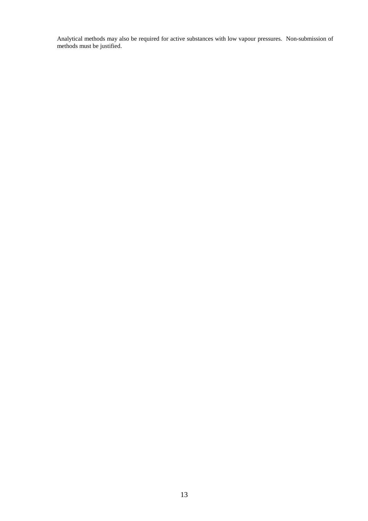Analytical methods may also be required for active substances with low vapour pressures. Non-submission of methods must be justified.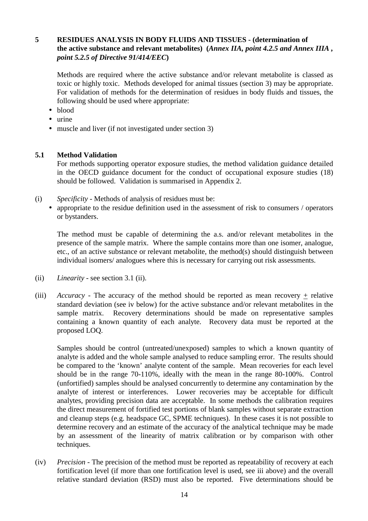#### **5 RESIDUES ANALYSIS IN BODY FLUIDS AND TISSUES - (determination of the active substance and relevant metabolites) (***Annex IIA, point 4.2.5 and Annex IIIA , point 5.2.5 of Directive 91/414/EEC***)**

Methods are required where the active substance and/or relevant metabolite is classed as toxic or highly toxic. Methods developed for animal tissues (section 3) may be appropriate. For validation of methods for the determination of residues in body fluids and tissues, the following should be used where appropriate:

- blood
- urine
- muscle and liver (if not investigated under section 3)

#### **5.1 Method Validation**

For methods supporting operator exposure studies, the method validation guidance detailed in the OECD guidance document for the conduct of occupational exposure studies (18) should be followed. Validation is summarised in Appendix 2.

- (i) *Specificity* Methods of analysis of residues must be:
	- appropriate to the residue definition used in the assessment of risk to consumers / operators or bystanders.

The method must be capable of determining the a.s. and/or relevant metabolites in the presence of the sample matrix. Where the sample contains more than one isomer, analogue, etc., of an active substance or relevant metabolite, the method(s) should distinguish between individual isomers/ analogues where this is necessary for carrying out risk assessments.

- (ii) *Linearity* see section 3.1 (ii).
- (iii) *Accuracy* The accuracy of the method should be reported as mean recovery + relative standard deviation (see iv below) for the active substance and/or relevant metabolites in the sample matrix. Recovery determinations should be made on representative samples containing a known quantity of each analyte. Recovery data must be reported at the proposed LOQ.

Samples should be control (untreated/unexposed) samples to which a known quantity of analyte is added and the whole sample analysed to reduce sampling error. The results should be compared to the 'known' analyte content of the sample. Mean recoveries for each level should be in the range 70-110%, ideally with the mean in the range 80-100%. Control (unfortified) samples should be analysed concurrently to determine any contamination by the analyte of interest or interferences. Lower recoveries may be acceptable for difficult analytes, providing precision data are acceptable. In some methods the calibration requires the direct measurement of fortified test portions of blank samples without separate extraction and cleanup steps (e.g. headspace GC, SPME techniques). In these cases it is not possible to determine recovery and an estimate of the accuracy of the analytical technique may be made by an assessment of the linearity of matrix calibration or by comparison with other techniques.

(iv) *Precision* - The precision of the method must be reported as repeatability of recovery at each fortification level (if more than one fortification level is used, see iii above) and the overall relative standard deviation (RSD) must also be reported. Five determinations should be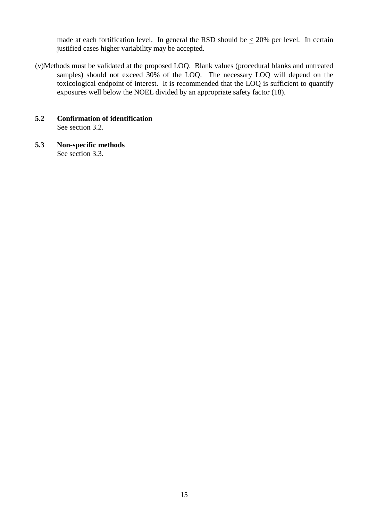made at each fortification level. In general the RSD should be  $\leq$  20% per level. In certain justified cases higher variability may be accepted.

(v)Methods must be validated at the proposed LOQ. Blank values (procedural blanks and untreated samples) should not exceed 30% of the LOQ. The necessary LOQ will depend on the toxicological endpoint of interest. It is recommended that the LOQ is sufficient to quantify exposures well below the NOEL divided by an appropriate safety factor (18).

#### **5.2 Confirmation of identification** See section 3.2.

#### **5.3 Non-specific methods** See section 3.3.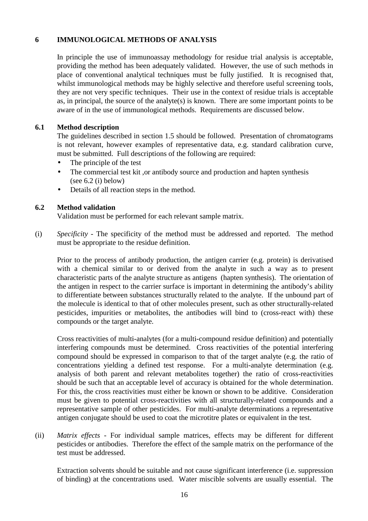#### **6 IMMUNOLOGICAL METHODS OF ANALYSIS**

In principle the use of immunoassay methodology for residue trial analysis is acceptable, providing the method has been adequately validated. However, the use of such methods in place of conventional analytical techniques must be fully justified. It is recognised that, whilst immunological methods may be highly selective and therefore useful screening tools, they are not very specific techniques. Their use in the context of residue trials is acceptable as, in principal, the source of the analyte(s) is known. There are some important points to be aware of in the use of immunological methods. Requirements are discussed below.

#### **6.1 Method description**

The guidelines described in section 1.5 should be followed. Presentation of chromatograms is not relevant, however examples of representative data, e.g. standard calibration curve, must be submitted. Full descriptions of the following are required:

- The principle of the test
- The commercial test kit, or antibody source and production and hapten synthesis (see 6.2 (i) below)
- Details of all reaction steps in the method.

#### **6.2 Method validation**

Validation must be performed for each relevant sample matrix.

(i) *Specificity* - The specificity of the method must be addressed and reported. The method must be appropriate to the residue definition.

Prior to the process of antibody production, the antigen carrier (e.g. protein) is derivatised with a chemical similar to or derived from the analyte in such a way as to present characteristic parts of the analyte structure as antigens (hapten synthesis). The orientation of the antigen in respect to the carrier surface is important in determining the antibody's ability to differentiate between substances structurally related to the analyte. If the unbound part of the molecule is identical to that of other molecules present, such as other structurally-related pesticides, impurities or metabolites, the antibodies will bind to (cross-react with) these compounds or the target analyte.

Cross reactivities of multi-analytes (for a multi-compound residue definition) and potentially interfering compounds must be determined. Cross reactivities of the potential interfering compound should be expressed in comparison to that of the target analyte (e.g. the ratio of concentrations yielding a defined test response. For a multi-analyte determination (e.g. analysis of both parent and relevant metabolites together) the ratio of cross-reactivities should be such that an acceptable level of accuracy is obtained for the whole determination. For this, the cross reactivities must either be known or shown to be additive. Consideration must be given to potential cross-reactivities with all structurally-related compounds and a representative sample of other pesticides. For multi-analyte determinations a representative antigen conjugate should be used to coat the microtitre plates or equivalent in the test.

(ii) *Matrix effects* - For individual sample matrices, effects may be different for different pesticides or antibodies. Therefore the effect of the sample matrix on the performance of the test must be addressed.

Extraction solvents should be suitable and not cause significant interference (i.e. suppression of binding) at the concentrations used. Water miscible solvents are usually essential. The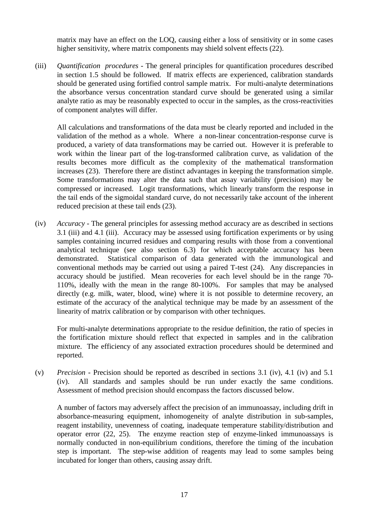matrix may have an effect on the LOQ, causing either a loss of sensitivity or in some cases higher sensitivity, where matrix components may shield solvent effects (22).

(iii) *Quantification procedures* - The general principles for quantification procedures described in section 1.5 should be followed. If matrix effects are experienced, calibration standards should be generated using fortified control sample matrix. For multi-analyte determinations the absorbance versus concentration standard curve should be generated using a similar analyte ratio as may be reasonably expected to occur in the samples, as the cross-reactivities of component analytes will differ.

All calculations and transformations of the data must be clearly reported and included in the validation of the method as a whole. Where a non-linear concentration-response curve is produced, a variety of data transformations may be carried out. However it is preferable to work within the linear part of the log-transformed calibration curve, as validation of the results becomes more difficult as the complexity of the mathematical transformation increases (23). Therefore there are distinct advantages in keeping the transformation simple. Some transformations may alter the data such that assay variability (precision) may be compressed or increased. Logit transformations, which linearly transform the response in the tail ends of the sigmoidal standard curve, do not necessarily take account of the inherent reduced precision at these tail ends (23).

(iv) *Accuracy* - The general principles for assessing method accuracy are as described in sections 3.1 (iii) and 4.1 (iii). Accuracy may be assessed using fortification experiments or by using samples containing incurred residues and comparing results with those from a conventional analytical technique (see also section 6.3) for which acceptable accuracy has been demonstrated. Statistical comparison of data generated with the immunological and conventional methods may be carried out using a paired T-test (24). Any discrepancies in accuracy should be justified. Mean recoveries for each level should be in the range 70- 110%, ideally with the mean in the range 80-100%. For samples that may be analysed directly (e.g. milk, water, blood, wine) where it is not possible to determine recovery, an estimate of the accuracy of the analytical technique may be made by an assessment of the linearity of matrix calibration or by comparison with other techniques.

For multi-analyte determinations appropriate to the residue definition, the ratio of species in the fortification mixture should reflect that expected in samples and in the calibration mixture. The efficiency of any associated extraction procedures should be determined and reported.

(v) *Precision* - Precision should be reported as described in sections 3.1 (iv), 4.1 (iv) and 5.1 (iv). All standards and samples should be run under exactly the same conditions. Assessment of method precision should encompass the factors discussed below.

A number of factors may adversely affect the precision of an immunoassay, including drift in absorbance-measuring equipment, inhomogeneity of analyte distribution in sub-samples, reagent instability, unevenness of coating, inadequate temperature stability/distribution and operator error (22, 25). The enzyme reaction step of enzyme-linked immunoassays is normally conducted in non-equilibrium conditions, therefore the timing of the incubation step is important. The step-wise addition of reagents may lead to some samples being incubated for longer than others, causing assay drift.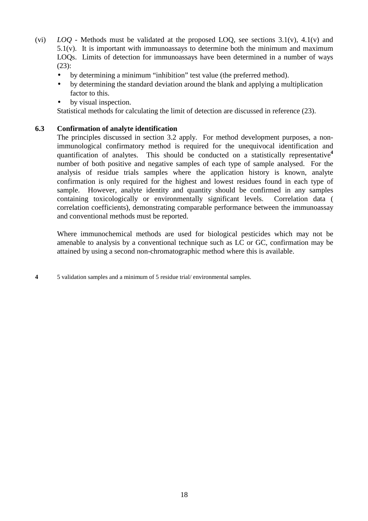- (vi) *LOQ* Methods must be validated at the proposed LOQ, see sections 3.1(v), 4.1(v) and 5.1(v). It is important with immunoassays to determine both the minimum and maximum LOQs. Limits of detection for immunoassays have been determined in a number of ways (23):
	- by determining a minimum "inhibition" test value (the preferred method).
	- by determining the standard deviation around the blank and applying a multiplication factor to this.
	- by visual inspection.

Statistical methods for calculating the limit of detection are discussed in reference (23).

#### **6.3 Confirmation of analyte identification**

The principles discussed in section 3.2 apply. For method development purposes, a nonimmunological confirmatory method is required for the unequivocal identification and quantification of analytes. This should be conducted on a statistically representative**<sup>4</sup>** number of both positive and negative samples of each type of sample analysed. For the analysis of residue trials samples where the application history is known, analyte confirmation is only required for the highest and lowest residues found in each type of sample. However, analyte identity and quantity should be confirmed in any samples containing toxicologically or environmentally significant levels. Correlation data ( correlation coefficients), demonstrating comparable performance between the immunoassay and conventional methods must be reported.

Where immunochemical methods are used for biological pesticides which may not be amenable to analysis by a conventional technique such as LC or GC, confirmation may be attained by using a second non-chromatographic method where this is available.

**4** 5 validation samples and a minimum of 5 residue trial/ environmental samples.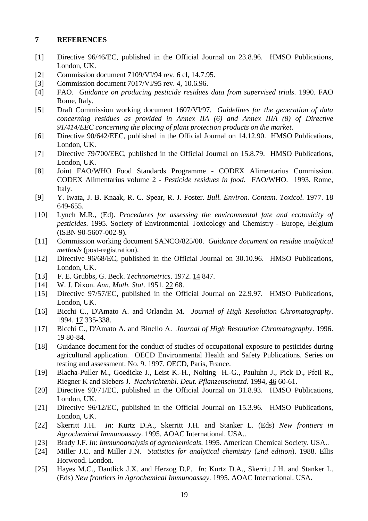#### **7 REFERENCES**

- [1] Directive 96/46/EC, published in the Official Journal on 23.8.96. HMSO Publications, London, UK.
- [2] Commission document 7109/VI/94 rev. 6 cl, 14.7.95.
- [3] Commission document 7017/VI/95 rev. 4, 10.6.96.
- [4] FAO. *Guidance on producing pesticide residues data from supervised trials*. 1990. FAO Rome, Italy.
- [5] Draft Commission working document 1607/VI/97. *Guidelines for the generation of data concerning residues as provided in Annex IIA (6) and Annex IIIA (8) of Directive 91/414/EEC concerning the placing of plant protection products on the market*.
- [6] Directive 90/642/EEC, published in the Official Journal on 14.12.90. HMSO Publications, London, UK.
- [7] Directive 79/700/EEC, published in the Official Journal on 15.8.79. HMSO Publications, London, UK.
- [8] Joint FAO/WHO Food Standards Programme CODEX Alimentarius Commission. CODEX Alimentarius volume 2 - *Pesticide residues in food*. FAO/WHO. 1993. Rome, Italy.
- [9] Y. Iwata, J. B. Knaak, R. C. Spear, R. J. Foster. *Bull. Environ. Contam. Toxicol*. 1977. 18 649-655.
- [10] Lynch M.R., (Ed). *Procedures for assessing the environmental fate and ecotoxicity of pesticides*. 1995. Society of Environmental Toxicology and Chemistry - Europe, Belgium (ISBN 90-5607-002-9).
- [11] Commission working document SANCO/825/00. *Guidance document on residue analytical methods* (post-registration).
- [12] Directive 96/68/EC, published in the Official Journal on 30.10.96. HMSO Publications, London, UK.
- [13] F. E. Grubbs, G. Beck. *Technometrics*. 1972. 14 847.
- [14] W. J. Dixon. *Ann. Math. Stat*. 1951. 22 68.
- [15] Directive 97/57/EC, published in the Official Journal on 22.9.97. HMSO Publications, London, UK.
- [16] Bicchi C., D'Amato A. and Orlandin M. *Journal of High Resolution Chromatography*. 1994. 17 335-338.
- [17] Bicchi C., D'Amato A. and Binello A. *Journal of High Resolution Chromatography*. 1996. 19 80-84.
- [18] Guidance document for the conduct of studies of occupational exposure to pesticides during agricultural application. OECD Environmental Health and Safety Publications. Series on testing and assessment. No. 9. 1997. OECD, Paris, France.
- [19] Blacha-Puller M., Goedicke J., Leist K.-H., Nolting H.-G., Pauluhn J., Pick D., Pfeil R., Riegner K and Siebers J. *Nachrichtenbl. Deut. Pflanzenschutzd.* 1994, 46 60-61.
- [20] Directive 93/71/EC, published in the Official Journal on 31.8.93. HMSO Publications, London, UK.
- [21] Directive 96/12/EC, published in the Official Journal on 15.3.96. HMSO Publications, London, UK.
- [22] Skerritt J.H. *In*: Kurtz D.A., Skerritt J.H. and Stanker L. (Eds) *New frontiers in Agrochemical Immunoassay*. 1995. AOAC International. USA..
- [23] Brady J.F. *In*: *Immunoanalysis of agrochemicals*. 1995. American Chemical Society. USA..
- [24] Miller J.C. and Miller J.N. *Statistics for analytical chemistry* (*2nd edition*). 1988. Ellis Horwood. London.
- [25] Hayes M.C., Dautlick J.X. and Herzog D.P. *In*: Kurtz D.A., Skerritt J.H. and Stanker L. (Eds) *New frontiers in Agrochemical Immunoassay*. 1995. AOAC International. USA.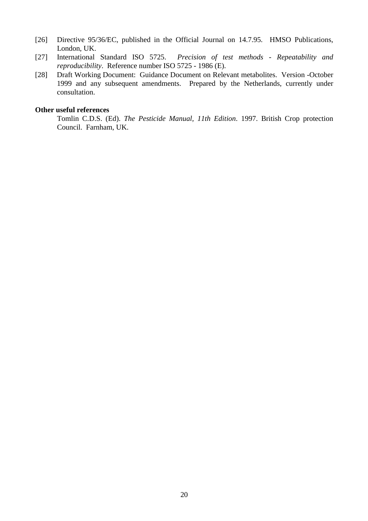- [26] Directive 95/36/EC, published in the Official Journal on 14.7.95. HMSO Publications, London, UK.
- [27] International Standard ISO 5725. *Precision of test methods Repeatability and reproducibility*. Reference number ISO 5725 - 1986 (E).
- [28] Draft Working Document: Guidance Document on Relevant metabolites. Version -October 1999 and any subsequent amendments. Prepared by the Netherlands, currently under consultation.

#### **Other useful references**

Tomlin C.D.S. (Ed). *The Pesticide Manual, 11th Edition*. 1997. British Crop protection Council. Farnham, UK.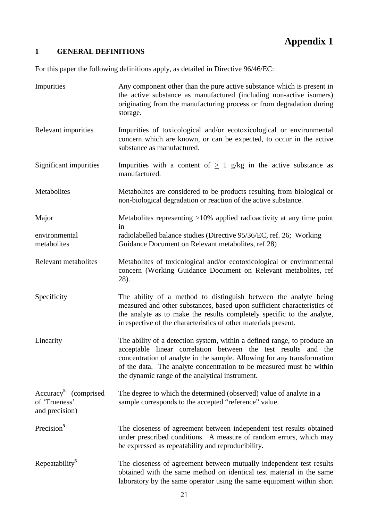# **Appendix 1**

### **1 GENERAL DEFINITIONS**

For this paper the following definitions apply, as detailed in Directive 96/46/EC:

| Impurities                                                 | Any component other than the pure active substance which is present in<br>the active substance as manufactured (including non-active isomers)<br>originating from the manufacturing process or from degradation during<br>storage.                                                                                                               |
|------------------------------------------------------------|--------------------------------------------------------------------------------------------------------------------------------------------------------------------------------------------------------------------------------------------------------------------------------------------------------------------------------------------------|
| Relevant impurities                                        | Impurities of toxicological and/or ecotoxicological or environmental<br>concern which are known, or can be expected, to occur in the active<br>substance as manufactured.                                                                                                                                                                        |
| Significant impurities                                     | Impurities with a content of $\geq 1$ g/kg in the active substance as<br>manufactured.                                                                                                                                                                                                                                                           |
| Metabolites                                                | Metabolites are considered to be products resulting from biological or<br>non-biological degradation or reaction of the active substance.                                                                                                                                                                                                        |
| Major                                                      | Metabolites representing $>10\%$ applied radioactivity at any time point                                                                                                                                                                                                                                                                         |
| environmental<br>metabolites                               | in.<br>radiolabelled balance studies (Directive 95/36/EC, ref. 26; Working<br>Guidance Document on Relevant metabolites, ref 28)                                                                                                                                                                                                                 |
| Relevant metabolites                                       | Metabolites of toxicological and/or ecotoxicological or environmental<br>concern (Working Guidance Document on Relevant metabolites, ref<br>28).                                                                                                                                                                                                 |
| Specificity                                                | The ability of a method to distinguish between the analyte being<br>measured and other substances, based upon sufficient characteristics of<br>the analyte as to make the results completely specific to the analyte,<br>irrespective of the characteristics of other materials present.                                                         |
| Linearity                                                  | The ability of a detection system, within a defined range, to produce an<br>acceptable linear correlation between the test results and the<br>concentration of analyte in the sample. Allowing for any transformation<br>of the data. The analyte concentration to be measured must be within<br>the dynamic range of the analytical instrument. |
| $Accuracy5$ (comprised)<br>of 'Trueness'<br>and precision) | The degree to which the determined (observed) value of analyte in a<br>sample corresponds to the accepted "reference" value.                                                                                                                                                                                                                     |
| Precision <sup>5</sup>                                     | The closeness of agreement between independent test results obtained<br>under prescribed conditions. A measure of random errors, which may<br>be expressed as repeatability and reproducibility.                                                                                                                                                 |
| Repeatability <sup>5</sup>                                 | The closeness of agreement between mutually independent test results<br>obtained with the same method on identical test material in the same<br>laboratory by the same operator using the same equipment within short                                                                                                                            |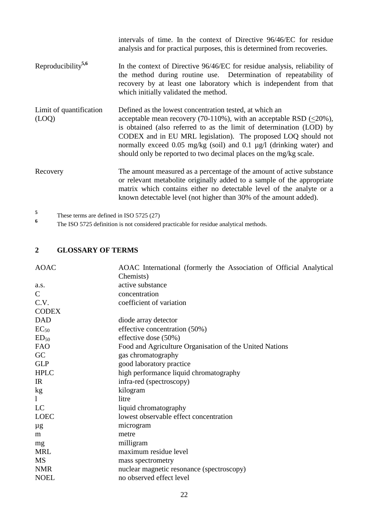|                                  | intervals of time. In the context of Directive 96/46/EC for residue<br>analysis and for practical purposes, this is determined from recoveries.                                                                                                                                                                                                                                                                           |
|----------------------------------|---------------------------------------------------------------------------------------------------------------------------------------------------------------------------------------------------------------------------------------------------------------------------------------------------------------------------------------------------------------------------------------------------------------------------|
| Reproducibility <sup>5,6</sup>   | In the context of Directive 96/46/EC for residue analysis, reliability of<br>the method during routine use. Determination of repeatability of<br>recovery by at least one laboratory which is independent from that<br>which initially validated the method.                                                                                                                                                              |
| Limit of quantification<br>(LOQ) | Defined as the lowest concentration tested, at which an<br>acceptable mean recovery (70-110%), with an acceptable RSD ( $\leq$ 20%),<br>is obtained (also referred to as the limit of determination (LOD) by<br>CODEX and in EU MRL legislation). The proposed LOQ should not<br>normally exceed 0.05 mg/kg (soil) and 0.1 µg/l (drinking water) and<br>should only be reported to two decimal places on the mg/kg scale. |
| Recovery                         | The amount measured as a percentage of the amount of active substance<br>or relevant metabolite originally added to a sample of the appropriate<br>matrix which contains either no detectable level of the analyte or a<br>known detectable level (not higher than 30% of the amount added).                                                                                                                              |

 $5$  These terms are defined in ISO 5725 (27)

The ISO 5725 definition is not considered practicable for residue analytical methods.

# **2 GLOSSARY OF TERMS**

| <b>AOAC</b>      | AOAC International (formerly the Association of Official Analytical |
|------------------|---------------------------------------------------------------------|
|                  | Chemists)                                                           |
| a.s.             | active substance                                                    |
| $\mathbf C$      | concentration                                                       |
| C.V.             | coefficient of variation                                            |
| <b>CODEX</b>     |                                                                     |
| <b>DAD</b>       | diode array detector                                                |
| $EC_{50}$        | effective concentration (50%)                                       |
| ED <sub>50</sub> | effective dose (50%)                                                |
| <b>FAO</b>       | Food and Agriculture Organisation of the United Nations             |
| GC               | gas chromatography                                                  |
| <b>GLP</b>       | good laboratory practice                                            |
| <b>HPLC</b>      | high performance liquid chromatography                              |
| IR               | infra-red (spectroscopy)                                            |
| kg               | kilogram                                                            |
| $\mathbf{l}$     | litre                                                               |
| LC               | liquid chromatography                                               |
| <b>LOEC</b>      | lowest observable effect concentration                              |
| $\mu$ g          | microgram                                                           |
| m                | metre                                                               |
| mg               | milligram                                                           |
| <b>MRL</b>       | maximum residue level                                               |
| <b>MS</b>        | mass spectrometry                                                   |
| <b>NMR</b>       | nuclear magnetic resonance (spectroscopy)                           |
| <b>NOEL</b>      | no observed effect level                                            |
|                  |                                                                     |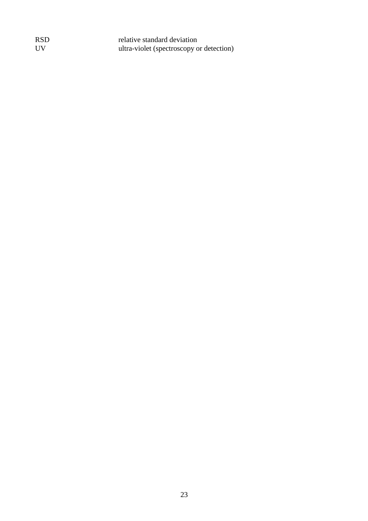| <b>RSD</b> | relative standard deviation              |
|------------|------------------------------------------|
| <b>IIV</b> | ultra-violet (spectroscopy or detection) |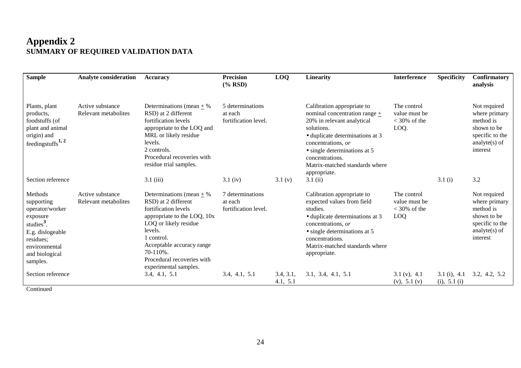## **Appendix 2 SUMMARY OF REQUIRED VALIDATION DATA**

| <b>Sample</b>                                                                                                                                                  | <b>Analyte consideration</b>             | <b>Accuracy</b>                                                                                                                                                                                                                                            | Precision<br>$(% \mathbf{RSD})$                     | LOQ                   | <b>Linearity</b>                                                                                                                                                                                                                                                          | <b>Interference</b>                                    | <b>Specificity</b>               | Confirmatory<br>analysis                                                                                     |
|----------------------------------------------------------------------------------------------------------------------------------------------------------------|------------------------------------------|------------------------------------------------------------------------------------------------------------------------------------------------------------------------------------------------------------------------------------------------------------|-----------------------------------------------------|-----------------------|---------------------------------------------------------------------------------------------------------------------------------------------------------------------------------------------------------------------------------------------------------------------------|--------------------------------------------------------|----------------------------------|--------------------------------------------------------------------------------------------------------------|
| Plants, plant<br>products,<br>foodstuffs (of<br>plant and animal<br>origin) and<br>feedingstuffs $^{1, 2}$                                                     | Active substance<br>Relevant metabolites | Determinations (mean $\pm$ %<br>RSD) at 2 different<br>fortification levels<br>appropriate to the LOQ and<br>MRL or likely residue<br>levels.<br>2 controls.<br>Procedural recoveries with<br>residue trial samples.                                       | 5 determinations<br>at each<br>fortification level. |                       | Calibration appropriate to<br>nominal concentration range $\pm$<br>20% in relevant analytical<br>solutions.<br>• duplicate determinations at 3<br>concentrations, or<br>• single determinations at 5<br>concentrations.<br>Matrix-matched standards where<br>appropriate. | The control<br>value must be<br>$<$ 30% of the<br>LOQ. |                                  | Not required<br>where primary<br>method is<br>shown to be<br>specific to the<br>analyte $(s)$ of<br>interest |
| Section reference                                                                                                                                              |                                          | $3.1$ (iii)                                                                                                                                                                                                                                                | $3.1$ (iv)                                          | 3.1(y)                | $3.1$ (ii)                                                                                                                                                                                                                                                                |                                                        | 3.1(i)                           | 3.2                                                                                                          |
| Methods<br>supporting<br>operator/worker<br>exposure<br>studies <sup>3</sup> .<br>E.g. dislogeable<br>residues;<br>environmental<br>and biological<br>samples. | Active substance<br>Relevant metabolites | Determinations (mean $+$ %<br>RSD) at 2 different<br>fortification levels<br>appropriate to the LOQ, 10x<br>LOQ or likely residue<br>levels.<br>1 control.<br>Acceptable accuracy range<br>70-110%.<br>Procedural recoveries with<br>experimental samples. | 7 determinations<br>at each<br>fortification level. |                       | Calibration appropriate to<br>expected values from field<br>studies.<br>• duplicate determinations at 3<br>concentrations, or<br>• single determinations at 5<br>concentrations.<br>Matrix-matched standards where<br>appropriate.                                        | The control<br>value must be<br>$<$ 30% of the<br>LOQ  |                                  | Not required<br>where primary<br>method is<br>shown to be<br>specific to the<br>analyte $(s)$ of<br>interest |
| Section reference                                                                                                                                              |                                          | 3.4, 4.1, 5.1                                                                                                                                                                                                                                              | 3.4, 4.1, 5.1                                       | 3.4, 3.1,<br>4.1, 5.1 | 3.1, 3.4, 4.1, 5.1                                                                                                                                                                                                                                                        | 3.1 (v), 4.1<br>(v), 5.1 (v)                           | $3.1$ (i), $4.1$<br>(i), 5.1 (i) | 3.2, 4.2, 5.2                                                                                                |

Continued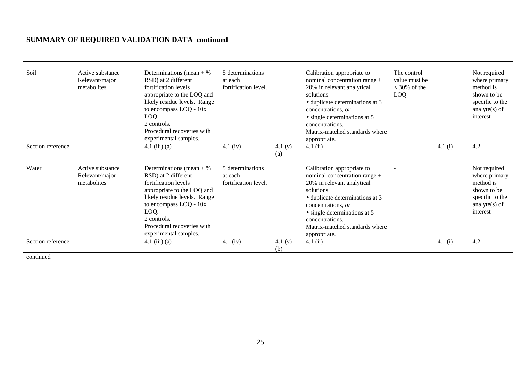## **SUMMARY OF REQUIRED VALIDATION DATA continued**

| Soil<br>Section reference | Active substance<br>Relevant/major<br>metabolites | Determinations (mean $\pm$ %<br>RSD) at 2 different<br>fortification levels<br>appropriate to the LOQ and<br>likely residue levels. Range<br>to encompass LOQ - 10x<br>LOQ.<br>2 controls.<br>Procedural recoveries with<br>experimental samples.<br>$4.1$ (iii) (a) | 5 determinations<br>at each<br>fortification level.<br>$4.1$ (iv) | 4.1 $(v)$<br>(a) | Calibration appropriate to<br>nominal concentration range $\pm$<br>20% in relevant analytical<br>solutions.<br>• duplicate determinations at 3<br>concentrations, or<br>• single determinations at 5<br>concentrations.<br>Matrix-matched standards where<br>appropriate.<br>$4.1$ (ii) | The control<br>value must be<br>$<$ 30% of the<br>LOQ | 4.1(i) | Not required<br>where primary<br>method is<br>shown to be<br>specific to the<br>analyte $(s)$ of<br>interest<br>4.2 |
|---------------------------|---------------------------------------------------|----------------------------------------------------------------------------------------------------------------------------------------------------------------------------------------------------------------------------------------------------------------------|-------------------------------------------------------------------|------------------|-----------------------------------------------------------------------------------------------------------------------------------------------------------------------------------------------------------------------------------------------------------------------------------------|-------------------------------------------------------|--------|---------------------------------------------------------------------------------------------------------------------|
| Water                     | Active substance<br>Relevant/major<br>metabolites | Determinations (mean $\pm$ %<br>RSD) at 2 different<br>fortification levels<br>appropriate to the LOQ and<br>likely residue levels. Range<br>to encompass LOQ - 10x<br>LOQ.<br>2 controls.<br>Procedural recoveries with<br>experimental samples.                    | 5 determinations<br>at each<br>fortification level.               |                  | Calibration appropriate to<br>nominal concentration range $\pm$<br>20% in relevant analytical<br>solutions.<br>• duplicate determinations at 3<br>concentrations, or<br>• single determinations at 5<br>concentrations.<br>Matrix-matched standards where<br>appropriate.               |                                                       |        | Not required<br>where primary<br>method is<br>shown to be<br>specific to the<br>analyte $(s)$ of<br>interest        |
| Section reference         |                                                   | $4.1$ (iii) (a)                                                                                                                                                                                                                                                      | $4.1$ (iv)                                                        | 4.1 $(v)$<br>(b) | $4.1$ (ii)                                                                                                                                                                                                                                                                              |                                                       | 4.1(i) | 4.2                                                                                                                 |

continued